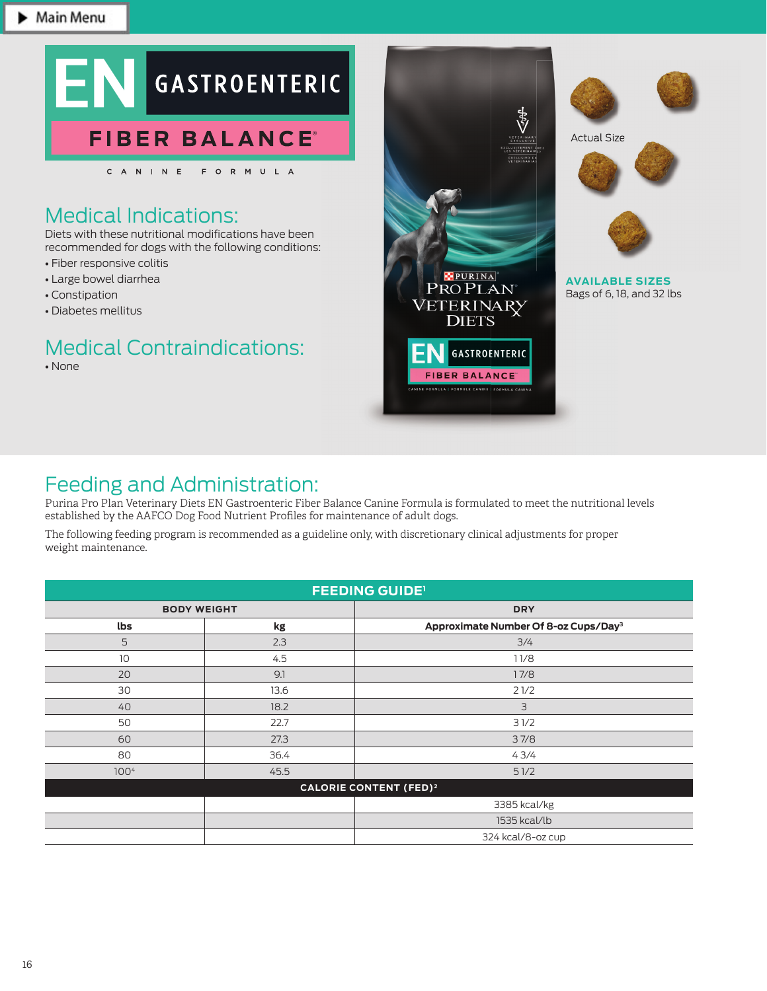

# Medical Indications:

Diets with these nutritional modifications have been recommended for dogs with the following conditions:

- Fiber responsive colitis
- Large bowel diarrhea
- Constipation
- Diabetes mellitus

# Medical Contraindications:

• None







**AVAILABLE SIZES** Bags of 6, 18, and 32 lbs

## Feeding and Administration:

Purina Pro Plan Veterinary Diets EN Gastroenteric Fiber Balance Canine Formula is formulated to meet the nutritional levels established by the AAFCO Dog Food Nutrient Profiles for maintenance of adult dogs.

The following feeding program is recommended as a guideline only, with discretionary clinical adjustments for proper weight maintenance.

| <b>FEEDING GUIDE'</b>                    |      |                                                  |  |  |  |
|------------------------------------------|------|--------------------------------------------------|--|--|--|
| <b>BODY WEIGHT</b>                       |      | <b>DRY</b>                                       |  |  |  |
| lbs                                      | kg   | Approximate Number Of 8-oz Cups/Day <sup>3</sup> |  |  |  |
| 5                                        | 2.3  | 3/4                                              |  |  |  |
| 10                                       | 4.5  | 11/8                                             |  |  |  |
| 20                                       | 9.1  | 17/8                                             |  |  |  |
| 30                                       | 13.6 | 21/2                                             |  |  |  |
| 40                                       | 18.2 | 3                                                |  |  |  |
| 50                                       | 22.7 | 31/2                                             |  |  |  |
| 60                                       | 27.3 | 37/8                                             |  |  |  |
| 80                                       | 36.4 | 43/4                                             |  |  |  |
| 100 <sup>4</sup>                         | 45.5 | 51/2                                             |  |  |  |
| <b>CALORIE CONTENT (FED)<sup>2</sup></b> |      |                                                  |  |  |  |
|                                          |      | 3385 kcal/kg                                     |  |  |  |
|                                          |      | 1535 kcal/lb                                     |  |  |  |
|                                          |      | 324 kcal/8-oz cup                                |  |  |  |